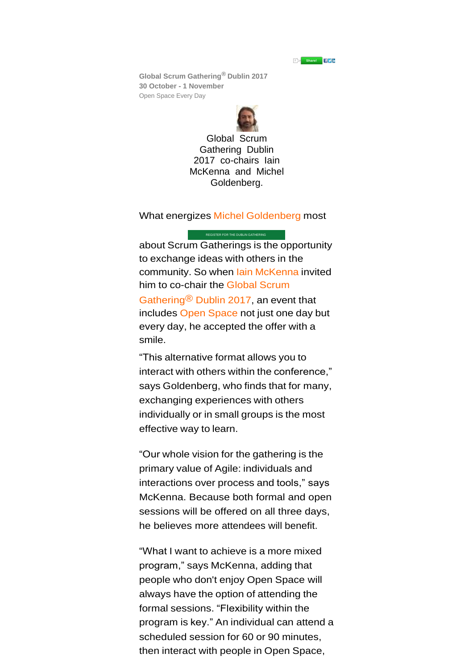

**Global Scrum Gathering® Dublin 2017 30 October - 1 November** Open Space Every Day



Global Scrum Gathering Dublin 2017 co-chairs Iain McKenna and Michel Goldenberg.

What energizes Michel [Goldenberg](https://www.scrumalliance.org/community/profile/mgoldenber2) most

[REGISTER FOR THE DUBLIN GATHERING](https://www.regonline.com/builder/site/Default.aspx?EventID=1874078)

about Scrum Gatherings is the opportunity to exchange ideas with others in the community. So when lain [McKenna](https://www.scrumalliance.org/community/profile/imckenna) invited him to co-chair the [Global](https://www.scrumalliance.org/sgdub) Scrum [Gathering®](https://www.scrumalliance.org/sgdub) Dublin 2017, an event that includes Open [Space](http://info.scrumalliance.org/EB-2016-12-08-SG-Update_Global-Scrum-Gathering-Open-Space.html) not just one day but every day, he accepted the offer with a smile.

"This alternative format allows you to interact with others within the conference," says Goldenberg, who finds that for many, exchanging experiences with others individually or in small groups is the most effective way to learn.

"Our whole vision for the gathering is the primary value of Agile: individuals and interactions over process and tools," says McKenna. Because both formal and open sessions will be offered on all three days, he believes more attendees will benefit.

"What I want to achieve is a more mixed program," says McKenna, adding that people who don't enjoy Open Space will always have the option of attending the formal sessions. "Flexibility within the program is key." An individual can attend a scheduled session for 60 or 90 minutes, then interact with people in Open Space,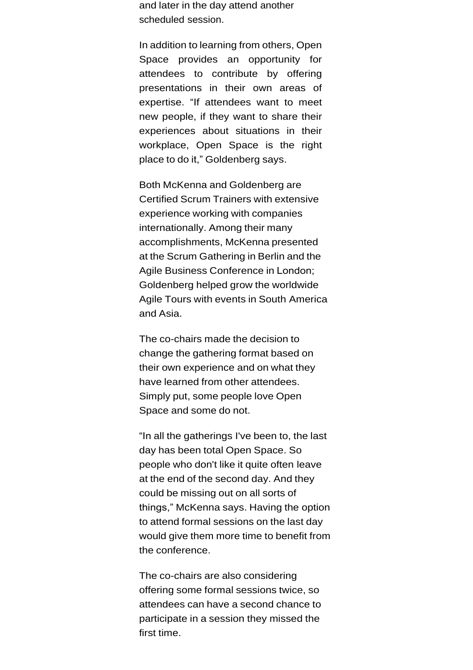and later in the day attend another scheduled session.

In addition to learning from others, Open Space provides an opportunity for attendees to contribute by offering presentations in their own areas of expertise. "If attendees want to meet new people, if they want to share their experiences about situations in their workplace, Open Space is the right place to do it," Goldenberg says.

Both McKenna and Goldenberg are Certified Scrum Trainers with extensive experience working with companies internationally. Among their many accomplishments, McKenna presented at the Scrum Gathering in Berlin and the Agile Business Conference in London; Goldenberg helped grow the worldwide Agile Tours with events in South America and Asia.

The co-chairs made the decision to change the gathering format based on their own experience and on what they have learned from other attendees. Simply put, some people love Open Space and some do not.

"In all the gatherings I've been to, the last day has been total Open Space. So people who don't like it quite often leave at the end of the second day. And they could be missing out on all sorts of things," McKenna says. Having the option to attend formal sessions on the last day would give them more time to benefit from the conference.

The co-chairs are also considering offering some formal sessions twice, so attendees can have a second chance to participate in a session they missed the first time.